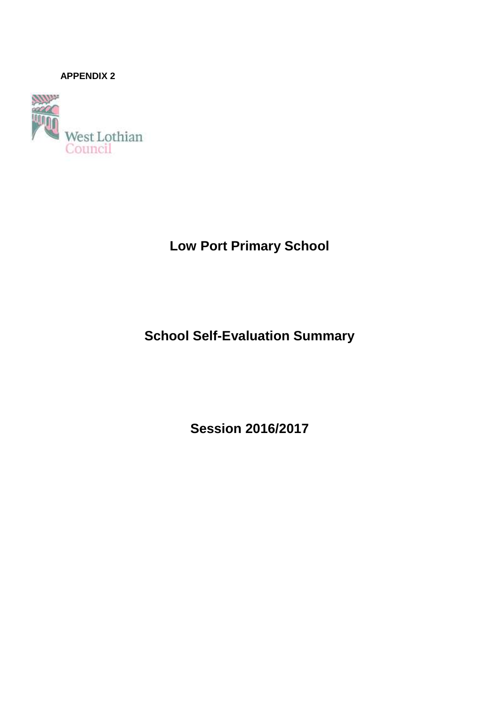**APPENDIX 2** 



**Low Port Primary School** 

**School Self-Evaluation Summary** 

**Session 2016/2017**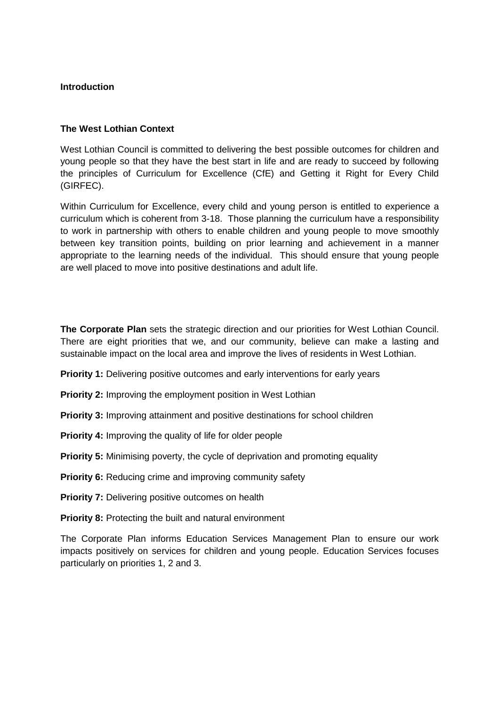#### **Introduction**

#### **The West Lothian Context**

West Lothian Council is committed to delivering the best possible outcomes for children and young people so that they have the best start in life and are ready to succeed by following the principles of Curriculum for Excellence (CfE) and Getting it Right for Every Child (GIRFEC).

Within Curriculum for Excellence, every child and young person is entitled to experience a curriculum which is coherent from 3-18. Those planning the curriculum have a responsibility to work in partnership with others to enable children and young people to move smoothly between key transition points, building on prior learning and achievement in a manner appropriate to the learning needs of the individual. This should ensure that young people are well placed to move into positive destinations and adult life.

**The Corporate Plan** sets the strategic direction and our priorities for West Lothian Council. There are eight priorities that we, and our community, believe can make a lasting and sustainable impact on the local area and improve the lives of residents in West Lothian.

- **Priority 1:** Delivering positive outcomes and early interventions for early years
- **Priority 2:** Improving the employment position in West Lothian
- **Priority 3:** Improving attainment and positive destinations for school children
- **Priority 4:** Improving the quality of life for older people

**Priority 5:** Minimising poverty, the cycle of deprivation and promoting equality

**Priority 6:** Reducing crime and improving community safety

**Priority 7: Delivering positive outcomes on health** 

**Priority 8: Protecting the built and natural environment** 

The Corporate Plan informs Education Services Management Plan to ensure our work impacts positively on services for children and young people. Education Services focuses particularly on priorities 1, 2 and 3.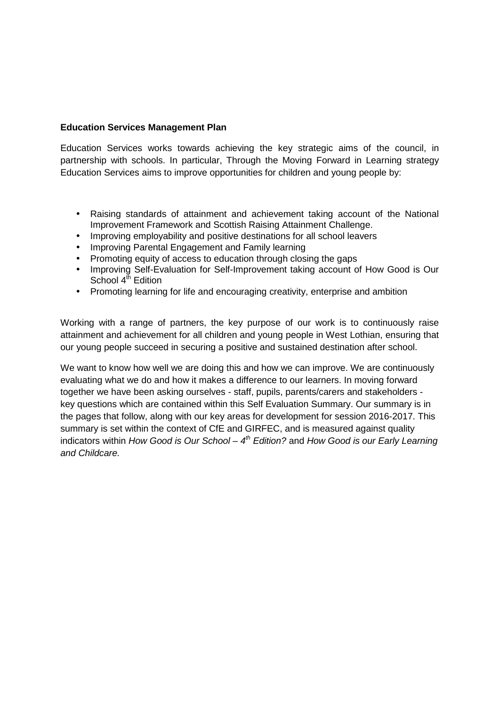#### **Education Services Management Plan**

Education Services works towards achieving the key strategic aims of the council, in partnership with schools. In particular, Through the Moving Forward in Learning strategy Education Services aims to improve opportunities for children and young people by:

- Raising standards of attainment and achievement taking account of the National Improvement Framework and Scottish Raising Attainment Challenge.
- Improving employability and positive destinations for all school leavers
- Improving Parental Engagement and Family learning
- Promoting equity of access to education through closing the gaps
- Improving Self-Evaluation for Self-Improvement taking account of How Good is Our School  $4<sup>th</sup>$  Edition
- Promoting learning for life and encouraging creativity, enterprise and ambition

Working with a range of partners, the key purpose of our work is to continuously raise attainment and achievement for all children and young people in West Lothian, ensuring that our young people succeed in securing a positive and sustained destination after school.

We want to know how well we are doing this and how we can improve. We are continuously evaluating what we do and how it makes a difference to our learners. In moving forward together we have been asking ourselves - staff, pupils, parents/carers and stakeholders key questions which are contained within this Self Evaluation Summary. Our summary is in the pages that follow, along with our key areas for development for session 2016-2017. This summary is set within the context of CfE and GIRFEC, and is measured against quality indicators within How Good is Our School –  $4<sup>th</sup>$  Edition? and How Good is our Early Learning and Childcare.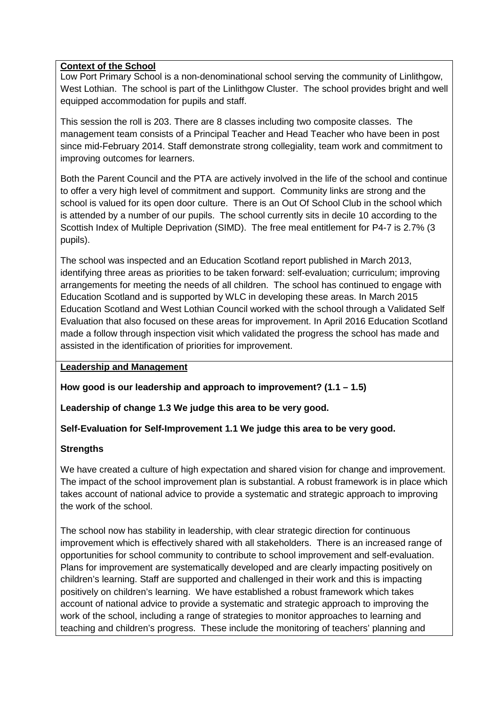## **Context of the School**

Low Port Primary School is a non-denominational school serving the community of Linlithgow, West Lothian. The school is part of the Linlithgow Cluster. The school provides bright and well equipped accommodation for pupils and staff.

This session the roll is 203. There are 8 classes including two composite classes. The management team consists of a Principal Teacher and Head Teacher who have been in post since mid-February 2014. Staff demonstrate strong collegiality, team work and commitment to improving outcomes for learners.

Both the Parent Council and the PTA are actively involved in the life of the school and continue to offer a very high level of commitment and support. Community links are strong and the school is valued for its open door culture. There is an Out Of School Club in the school which is attended by a number of our pupils. The school currently sits in decile 10 according to the Scottish Index of Multiple Deprivation (SIMD). The free meal entitlement for P4-7 is 2.7% (3 pupils).

The school was inspected and an Education Scotland report published in March 2013, identifying three areas as priorities to be taken forward: self-evaluation; curriculum; improving arrangements for meeting the needs of all children. The school has continued to engage with Education Scotland and is supported by WLC in developing these areas. In March 2015 Education Scotland and West Lothian Council worked with the school through a Validated Self Evaluation that also focused on these areas for improvement. In April 2016 Education Scotland made a follow through inspection visit which validated the progress the school has made and assisted in the identification of priorities for improvement.

**Leadership and Management**

**How good is our leadership and approach to improvement? (1.1 – 1.5)** 

**Leadership of change 1.3 We judge this area to be very good.** 

# **Self-Evaluation for Self-Improvement 1.1 We judge this area to be very good.**

## **Strengths**

We have created a culture of high expectation and shared vision for change and improvement. The impact of the school improvement plan is substantial. A robust framework is in place which takes account of national advice to provide a systematic and strategic approach to improving the work of the school.

The school now has stability in leadership, with clear strategic direction for continuous improvement which is effectively shared with all stakeholders. There is an increased range of opportunities for school community to contribute to school improvement and self-evaluation. Plans for improvement are systematically developed and are clearly impacting positively on children's learning. Staff are supported and challenged in their work and this is impacting positively on children's learning. We have established a robust framework which takes account of national advice to provide a systematic and strategic approach to improving the work of the school, including a range of strategies to monitor approaches to learning and teaching and children's progress. These include the monitoring of teachers' planning and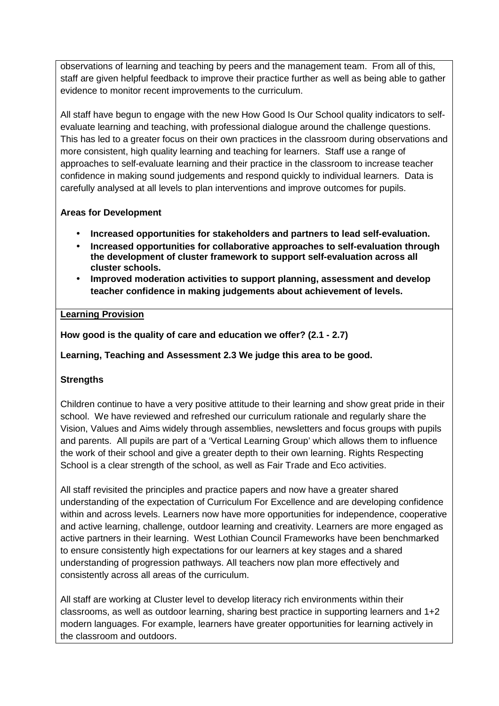observations of learning and teaching by peers and the management team. From all of this, staff are given helpful feedback to improve their practice further as well as being able to gather evidence to monitor recent improvements to the curriculum.

All staff have begun to engage with the new How Good Is Our School quality indicators to selfevaluate learning and teaching, with professional dialogue around the challenge questions. This has led to a greater focus on their own practices in the classroom during observations and more consistent, high quality learning and teaching for learners. Staff use a range of approaches to self-evaluate learning and their practice in the classroom to increase teacher confidence in making sound judgements and respond quickly to individual learners. Data is carefully analysed at all levels to plan interventions and improve outcomes for pupils.

# **Areas for Development**

- **Increased opportunities for stakeholders and partners to lead self-evaluation.**
- **Increased opportunities for collaborative approaches to self-evaluation through the development of cluster framework to support self-evaluation across all cluster schools.**
- **Improved moderation activities to support planning, assessment and develop teacher confidence in making judgements about achievement of levels.**

#### **Learning Provision**

## **How good is the quality of care and education we offer? (2.1 - 2.7)**

## **Learning, Teaching and Assessment 2.3 We judge this area to be good.**

## **Strengths**

Children continue to have a very positive attitude to their learning and show great pride in their school. We have reviewed and refreshed our curriculum rationale and regularly share the Vision, Values and Aims widely through assemblies, newsletters and focus groups with pupils and parents. All pupils are part of a 'Vertical Learning Group' which allows them to influence the work of their school and give a greater depth to their own learning. Rights Respecting School is a clear strength of the school, as well as Fair Trade and Eco activities.

All staff revisited the principles and practice papers and now have a greater shared understanding of the expectation of Curriculum For Excellence and are developing confidence within and across levels. Learners now have more opportunities for independence, cooperative and active learning, challenge, outdoor learning and creativity. Learners are more engaged as active partners in their learning. West Lothian Council Frameworks have been benchmarked to ensure consistently high expectations for our learners at key stages and a shared understanding of progression pathways. All teachers now plan more effectively and consistently across all areas of the curriculum.

All staff are working at Cluster level to develop literacy rich environments within their classrooms, as well as outdoor learning, sharing best practice in supporting learners and 1+2 modern languages. For example, learners have greater opportunities for learning actively in the classroom and outdoors.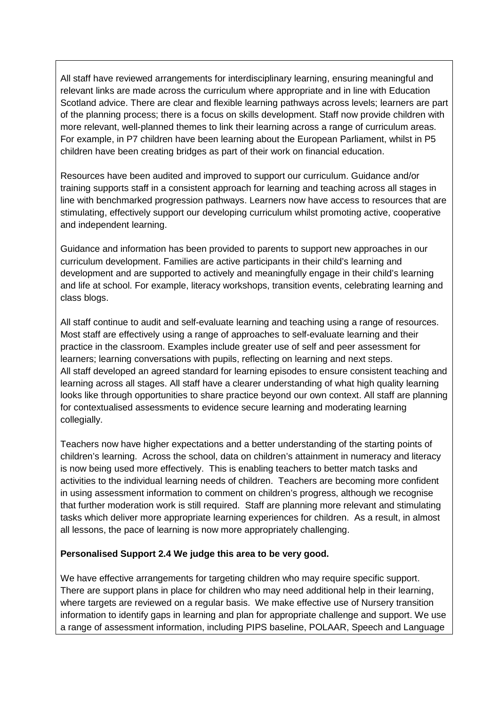All staff have reviewed arrangements for interdisciplinary learning, ensuring meaningful and relevant links are made across the curriculum where appropriate and in line with Education Scotland advice. There are clear and flexible learning pathways across levels; learners are part of the planning process; there is a focus on skills development. Staff now provide children with more relevant, well-planned themes to link their learning across a range of curriculum areas. For example, in P7 children have been learning about the European Parliament, whilst in P5 children have been creating bridges as part of their work on financial education.

Resources have been audited and improved to support our curriculum. Guidance and/or training supports staff in a consistent approach for learning and teaching across all stages in line with benchmarked progression pathways. Learners now have access to resources that are stimulating, effectively support our developing curriculum whilst promoting active, cooperative and independent learning.

Guidance and information has been provided to parents to support new approaches in our curriculum development. Families are active participants in their child's learning and development and are supported to actively and meaningfully engage in their child's learning and life at school. For example, literacy workshops, transition events, celebrating learning and class blogs.

All staff continue to audit and self-evaluate learning and teaching using a range of resources. Most staff are effectively using a range of approaches to self-evaluate learning and their practice in the classroom. Examples include greater use of self and peer assessment for learners; learning conversations with pupils, reflecting on learning and next steps. All staff developed an agreed standard for learning episodes to ensure consistent teaching and learning across all stages. All staff have a clearer understanding of what high quality learning looks like through opportunities to share practice beyond our own context. All staff are planning for contextualised assessments to evidence secure learning and moderating learning collegially.

Teachers now have higher expectations and a better understanding of the starting points of children's learning. Across the school, data on children's attainment in numeracy and literacy is now being used more effectively. This is enabling teachers to better match tasks and activities to the individual learning needs of children. Teachers are becoming more confident in using assessment information to comment on children's progress, although we recognise that further moderation work is still required. Staff are planning more relevant and stimulating tasks which deliver more appropriate learning experiences for children. As a result, in almost all lessons, the pace of learning is now more appropriately challenging.

## **Personalised Support 2.4 We judge this area to be very good.**

We have effective arrangements for targeting children who may require specific support. There are support plans in place for children who may need additional help in their learning, where targets are reviewed on a regular basis. We make effective use of Nursery transition information to identify gaps in learning and plan for appropriate challenge and support. We use a range of assessment information, including PIPS baseline, POLAAR, Speech and Language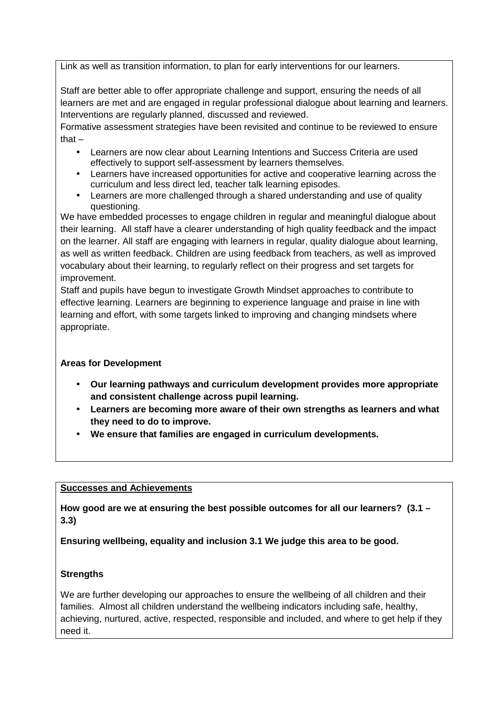Link as well as transition information, to plan for early interventions for our learners.

Staff are better able to offer appropriate challenge and support, ensuring the needs of all learners are met and are engaged in regular professional dialogue about learning and learners. Interventions are regularly planned, discussed and reviewed.

Formative assessment strategies have been revisited and continue to be reviewed to ensure that $-$ 

- Learners are now clear about Learning Intentions and Success Criteria are used effectively to support self-assessment by learners themselves.
- Learners have increased opportunities for active and cooperative learning across the curriculum and less direct led, teacher talk learning episodes.
- Learners are more challenged through a shared understanding and use of quality questioning.

We have embedded processes to engage children in regular and meaningful dialogue about their learning. All staff have a clearer understanding of high quality feedback and the impact on the learner. All staff are engaging with learners in regular, quality dialogue about learning, as well as written feedback. Children are using feedback from teachers, as well as improved vocabulary about their learning, to regularly reflect on their progress and set targets for improvement.

Staff and pupils have begun to investigate Growth Mindset approaches to contribute to effective learning. Learners are beginning to experience language and praise in line with learning and effort, with some targets linked to improving and changing mindsets where appropriate.

## **Areas for Development**

- **Our learning pathways and curriculum development provides more appropriate and consistent challenge across pupil learning.**
- **Learners are becoming more aware of their own strengths as learners and what they need to do to improve.**
- **We ensure that families are engaged in curriculum developments.**

## **Successes and Achievements**

**How good are we at ensuring the best possible outcomes for all our learners? (3.1 – 3.3)** 

**Ensuring wellbeing, equality and inclusion 3.1 We judge this area to be good.** 

## **Strengths**

We are further developing our approaches to ensure the wellbeing of all children and their families. Almost all children understand the wellbeing indicators including safe, healthy, achieving, nurtured, active, respected, responsible and included, and where to get help if they need it.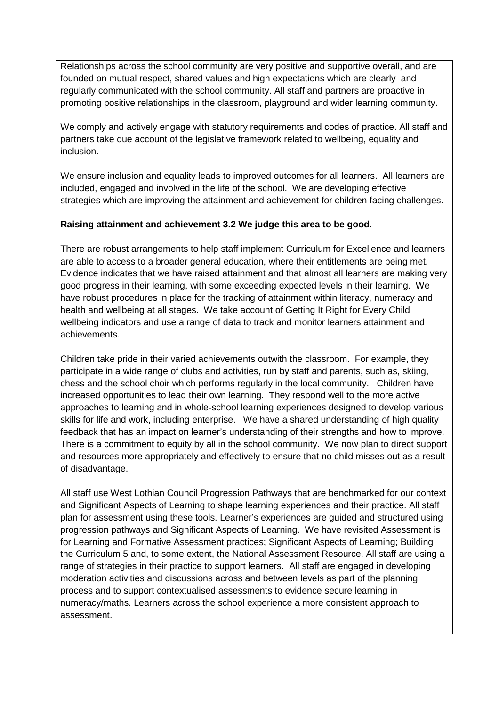Relationships across the school community are very positive and supportive overall, and are founded on mutual respect, shared values and high expectations which are clearly and regularly communicated with the school community. All staff and partners are proactive in promoting positive relationships in the classroom, playground and wider learning community.

We comply and actively engage with statutory requirements and codes of practice. All staff and partners take due account of the legislative framework related to wellbeing, equality and inclusion.

We ensure inclusion and equality leads to improved outcomes for all learners. All learners are included, engaged and involved in the life of the school. We are developing effective strategies which are improving the attainment and achievement for children facing challenges.

## **Raising attainment and achievement 3.2 We judge this area to be good.**

There are robust arrangements to help staff implement Curriculum for Excellence and learners are able to access to a broader general education, where their entitlements are being met. Evidence indicates that we have raised attainment and that almost all learners are making very good progress in their learning, with some exceeding expected levels in their learning. We have robust procedures in place for the tracking of attainment within literacy, numeracy and health and wellbeing at all stages. We take account of Getting It Right for Every Child wellbeing indicators and use a range of data to track and monitor learners attainment and achievements.

Children take pride in their varied achievements outwith the classroom. For example, they participate in a wide range of clubs and activities, run by staff and parents, such as, skiing, chess and the school choir which performs regularly in the local community. Children have increased opportunities to lead their own learning. They respond well to the more active approaches to learning and in whole-school learning experiences designed to develop various skills for life and work, including enterprise. We have a shared understanding of high quality feedback that has an impact on learner's understanding of their strengths and how to improve. There is a commitment to equity by all in the school community. We now plan to direct support and resources more appropriately and effectively to ensure that no child misses out as a result of disadvantage.

All staff use West Lothian Council Progression Pathways that are benchmarked for our context and Significant Aspects of Learning to shape learning experiences and their practice. All staff plan for assessment using these tools. Learner's experiences are guided and structured using progression pathways and Significant Aspects of Learning. We have revisited Assessment is for Learning and Formative Assessment practices; Significant Aspects of Learning; Building the Curriculum 5 and, to some extent, the National Assessment Resource. All staff are using a range of strategies in their practice to support learners. All staff are engaged in developing moderation activities and discussions across and between levels as part of the planning process and to support contextualised assessments to evidence secure learning in numeracy/maths. Learners across the school experience a more consistent approach to assessment.